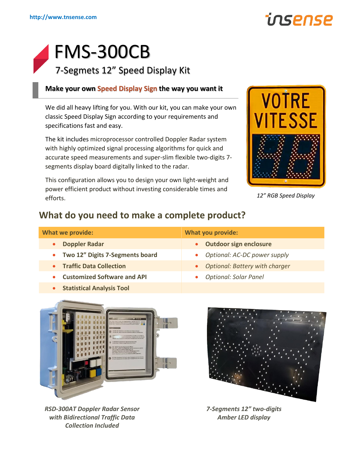

# FMS-300CB 7-Segmets 12" Speed Display Kit

## **Make your own Speed Display Sign the way you want it**

We did all heavy lifting for you. With our kit, you can make your own classic Speed Display Sign according to your requirements and specifications fast and easy.

The kit includes microprocessor controlled Doppler Radar system with highly optimized signal processing algorithms for quick and accurate speed measurements and super-slim flexible two-digits 7 segments display board digitally linked to the radar.

This configuration allows you to design your own light-weight and power efficient product without investing considerable times and efforts.



*12" RGB Speed Display*

# **What do you need to make a complete product?**

| <b>What we provide:</b>            | <b>What you provide:</b>         |
|------------------------------------|----------------------------------|
| <b>Doppler Radar</b>               | • Outdoor sign enclosure         |
| • Two 12" Digits 7-Segments board  | • Optional: AC-DC power supply   |
| • Traffic Data Collection          | • Optional: Battery with charger |
| <b>Customized Software and API</b> | <b>Optional: Solar Panel</b>     |
|                                    |                                  |



• **Statistical Analysis Tool**

*RSD-300AT Doppler Radar Sensor with Bidirectional Traffic Data Collection Included*



*7-Segments 12" two-digits Amber LED display*